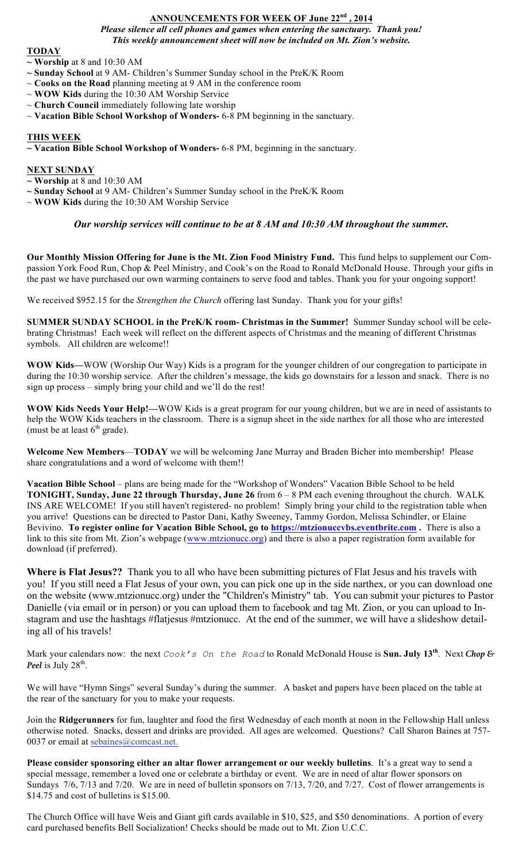# **ANNOUNCEMENTS FOR WEEK OF June 22nd , 2014**

*Please silence all cell phones and games when entering the sanctuary. Thank you! This weekly announcement sheet will now be included on Mt. Zion's website.*

### **TODAY**

**~ Worship** at 8 and 10:30 AM

- **~ Sunday School** at 9 AM- Children's Summer Sunday school in the PreK/K Room
- ~ **Cooks on the Road** planning meeting at 9 AM in the conference room
- ~ **WOW Kids** during the 10:30 AM Worship Service
- $\sim$  **Church Council** immediately following late worship
- ~ **Vacation Bible School Workshop of Wonders-** 6-8 PM beginning in the sanctuary.

## **THIS WEEK**

**~ Vacation Bible School Workshop of Wonders-** 6-8 PM, beginning in the sanctuary.

## **NEXT SUNDAY**

- **~ Worship** at 8 and 10:30 AM
- **~ Sunday School** at 9 AM- Children's Summer Sunday school in the PreK/K Room
- ~ **WOW Kids** during the 10:30 AM Worship Service

## *Our worship services will continue to be at 8 AM and 10:30 AM throughout the summer.*

**Our Monthly Mission Offering for June is the Mt. Zion Food Ministry Fund.** This fund helps to supplement our Compassion York Food Run, Chop & Peel Ministry, and Cook's on the Road to Ronald McDonald House. Through your gifts in the past we have purchased our own warming containers to serve food and tables. Thank you for your ongoing support!

We received \$952.15 for the *Strengthen the Church* offering last Sunday. Thank you for your gifts!

**SUMMER SUNDAY SCHOOL in the PreK/K room- Christmas in the Summer!** Summer Sunday school will be celebrating Christmas! Each week will reflect on the different aspects of Christmas and the meaning of different Christmas symbols. All children are welcome!!

**WOW Kids—**WOW (Worship Our Way) Kids is a program for the younger children of our congregation to participate in during the 10:30 worship service. After the children's message, the kids go downstairs for a lesson and snack. There is no sign up process – simply bring your child and we'll do the rest!

**WOW Kids Needs Your Help!—**WOW Kids is a great program for our young children, but we are in need of assistants to help the WOW Kids teachers in the classroom. There is a signup sheet in the side narthex for all those who are interested (must be at least  $6<sup>th</sup>$  grade).

**Welcome New Members**—**TODAY** we will be welcoming Jane Murray and Braden Bicher into membership! Please share congratulations and a word of welcome with them!!

**Vacation Bible School** – plans are being made for the "Workshop of Wonders" Vacation Bible School to be held **TONIGHT, Sunday, June 22 through Thursday, June 26** from 6 – 8 PM each evening throughout the church. WALK INS ARE WELCOME! If you still haven't registered- no problem! Simply bring your child to the registration table when you arrive! Questions can be directed to Pastor Dani, Kathy Sweeney, Tammy Gordon, Melissa Schindler, or Elaine Bevivino. **To register online for Vacation Bible School, go to https://mtzionuccvbs.eventbrite.com .** There is also a link to this site from Mt. Zion's webpage (www.mtzionucc.org) and there is also a paper registration form available for download (if preferred).

**Where is Flat Jesus??** Thank you to all who have been submitting pictures of Flat Jesus and his travels with you! If you still need a Flat Jesus of your own, you can pick one up in the side narthex, or you can download one on the website (www.mtzionucc.org) under the "Children's Ministry" tab. You can submit your pictures to Pastor Danielle (via email or in person) or you can upload them to facebook and tag Mt. Zion, or you can upload to Instagram and use the hashtags #flatjesus #mtzionucc. At the end of the summer, we will have a slideshow detailing all of his travels!

Mark your calendars now: the next *Cook's On the Road* to Ronald McDonald House is **Sun. July 13th**. Next *Chop & Peel* is July  $28^{\text{th}}$ .

We will have "Hymn Sings" several Sunday's during the summer. A basket and papers have been placed on the table at the rear of the sanctuary for you to make your requests.

Join the **Ridgerunners** for fun, laughter and food the first Wednesday of each month at noon in the Fellowship Hall unless otherwise noted. Snacks, dessert and drinks are provided. All ages are welcomed. Questions? Call Sharon Baines at 757- 0037 or email at sebaines@comcast.net.

**Please consider sponsoring either an altar flower arrangement or our weekly bulletins**. It's a great way to send a special message, remember a loved one or celebrate a birthday or event. We are in need of altar flower sponsors on Sundays 7/6, 7/13 and 7/20. We are in need of bulletin sponsors on 7/13, 7/20, and 7/27. Cost of flower arrangements is \$14.75 and cost of bulletins is \$15.00.

The Church Office will have Weis and Giant gift cards available in \$10, \$25, and \$50 denominations. A portion of every card purchased benefits Bell Socialization! Checks should be made out to Mt. Zion U.C.C.